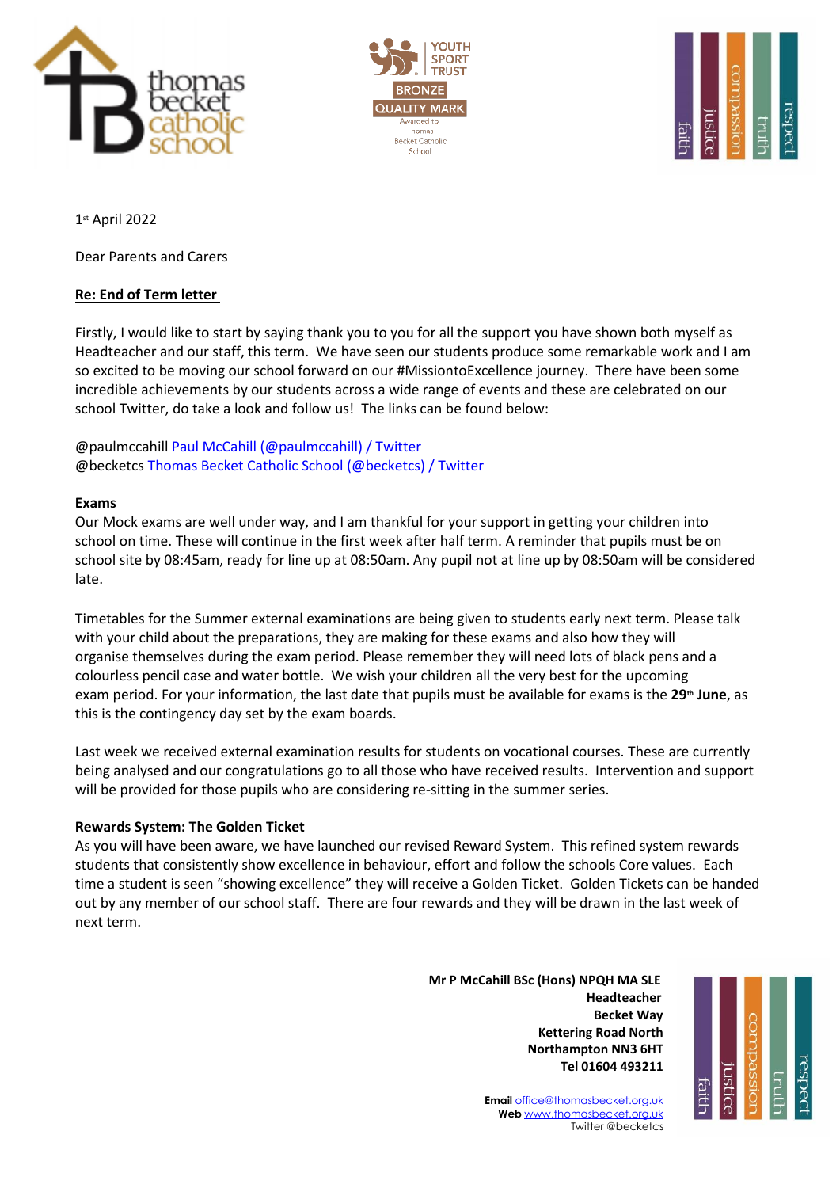





1st April 2022

Dear Parents and Carers

## **Re: End of Term letter**

Firstly, I would like to start by saying thank you to you for all the support you have shown both myself as Headteacher and our staff, this term. We have seen our students produce some remarkable work and I am so excited to be moving our school forward on our #MissiontoExcellence journey. There have been some incredible achievements by our students across a wide range of events and these are celebrated on our school Twitter, do take a look and follow us! The links can be found below:

@paulmccahil[l Paul McCahill \(@paulmccahill\) / Twitter](https://twitter.com/paulmccahill) @becketc[s Thomas Becket Catholic School \(@becketcs\) / Twitter](https://twitter.com/becketcs)

### **Exams**

Our Mock exams are well under way, and I am thankful for your support in getting your children into school on time. These will continue in the first week after half term. A reminder that pupils must be on school site by 08:45am, ready for line up at 08:50am. Any pupil not at line up by 08:50am will be considered late.

Timetables for the Summer external examinations are being given to students early next term. Please talk with your child about the preparations, they are making for these exams and also how they will organise themselves during the exam period. Please remember they will need lots of black pens and a colourless pencil case and water bottle. We wish your children all the very best for the upcoming exam period. For your information, the last date that pupils must be available for exams is the **29th June**, as this is the contingency day set by the exam boards.

Last week we received external examination results for students on vocational courses. These are currently being analysed and our congratulations go to all those who have received results. Intervention and support will be provided for those pupils who are considering re-sitting in the summer series.

### **Rewards System: The Golden Ticket**

As you will have been aware, we have launched our revised Reward System. This refined system rewards students that consistently show excellence in behaviour, effort and follow the schools Core values. Each time a student is seen "showing excellence" they will receive a Golden Ticket. Golden Tickets can be handed out by any member of our school staff. There are four rewards and they will be drawn in the last week of next term.

 **Mr P McCahill BSc (Hons) NPQH MA SLE** با المستخدم المستخدم المستخدم المستخدم المستخدم المستخدم المستخدم المستخدم المستخدم المستخدم المستخدم المستخدم ا **Becket Way Kettering Road North Northampton NN3 6HT Tel 01604 493211**



**Email** [office@thomasbecket.org.uk](mailto:office@thomasbecket.org.uk) **Web** [www.thomasbecket.org.uk](http://www.thomasbecket.org.uk/) Twitter @becketcs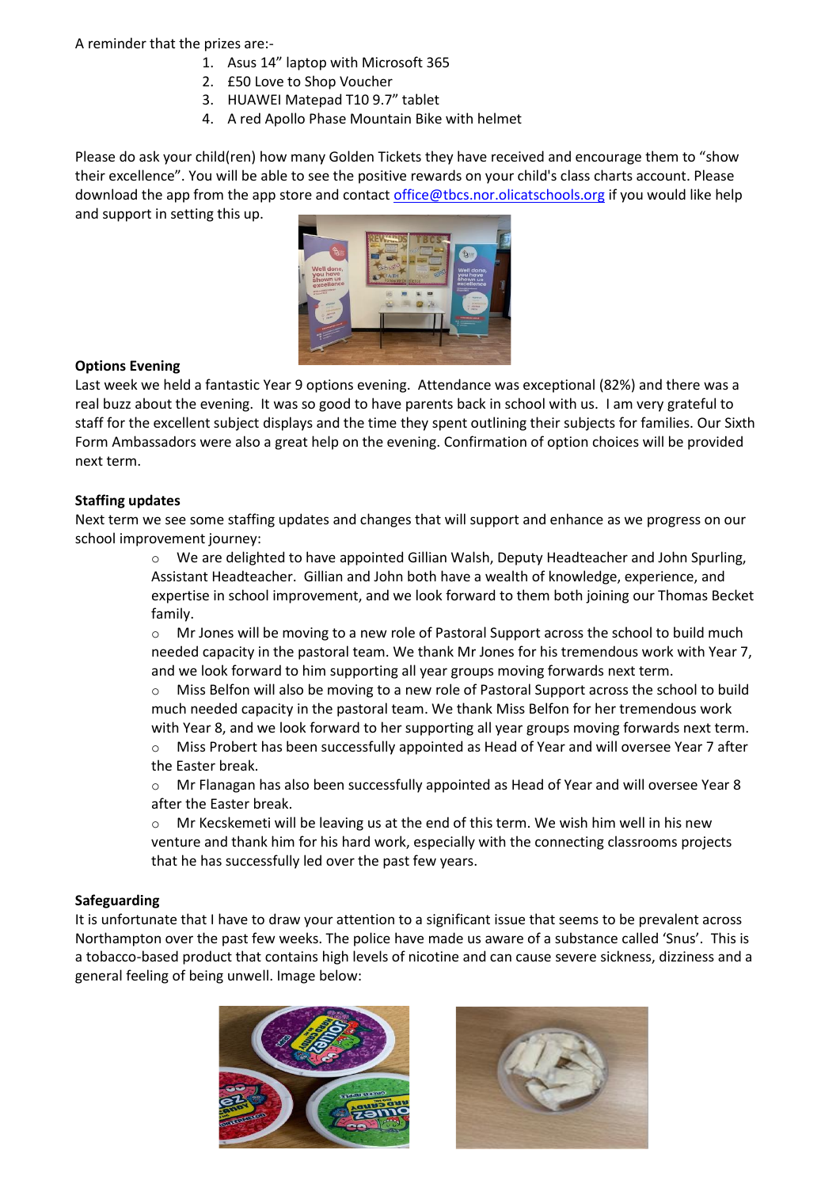A reminder that the prizes are:-

- 1. Asus 14" laptop with Microsoft 365
- 2. £50 Love to Shop Voucher
- 3. HUAWEI Matepad T10 9.7" tablet
- 4. A red Apollo Phase Mountain Bike with helmet

Please do ask your child(ren) how many Golden Tickets they have received and encourage them to "show their excellence". You will be able to see the positive rewards on your child's class charts account. Please download the app from the app store and contact [office@tbcs.nor.olicatschools.org](mailto:office@tbcs.nor.olicatschools.org) if you would like help and support in setting this up.



# **Options Evening**

Last week we held a fantastic Year 9 options evening. Attendance was exceptional (82%) and there was a real buzz about the evening. It was so good to have parents back in school with us. I am very grateful to staff for the excellent subject displays and the time they spent outlining their subjects for families. Our Sixth Form Ambassadors were also a great help on the evening. Confirmation of option choices will be provided next term.

### **Staffing updates**

Next term we see some staffing updates and changes that will support and enhance as we progress on our school improvement journey:

> o We are delighted to have appointed Gillian Walsh, Deputy Headteacher and John Spurling, Assistant Headteacher. Gillian and John both have a wealth of knowledge, experience, and expertise in school improvement, and we look forward to them both joining our Thomas Becket family.

> o Mr Jones will be moving to a new role of Pastoral Support across the school to build much needed capacity in the pastoral team. We thank Mr Jones for his tremendous work with Year 7, and we look forward to him supporting all year groups moving forwards next term.

> $\circ$  Miss Belfon will also be moving to a new role of Pastoral Support across the school to build much needed capacity in the pastoral team. We thank Miss Belfon for her tremendous work with Year 8, and we look forward to her supporting all year groups moving forwards next term.

> o Miss Probert has been successfully appointed as Head of Year and will oversee Year 7 after the Easter break.

> o Mr Flanagan has also been successfully appointed as Head of Year and will oversee Year 8 after the Easter break.

Mr Kecskemeti will be leaving us at the end of this term. We wish him well in his new venture and thank him for his hard work, especially with the connecting classrooms projects that he has successfully led over the past few years.

### **Safeguarding**

It is unfortunate that I have to draw your attention to a significant issue that seems to be prevalent across Northampton over the past few weeks. The police have made us aware of a substance called 'Snus'. This is a tobacco-based product that contains high levels of nicotine and can cause severe sickness, dizziness and a general feeling of being unwell. Image below: